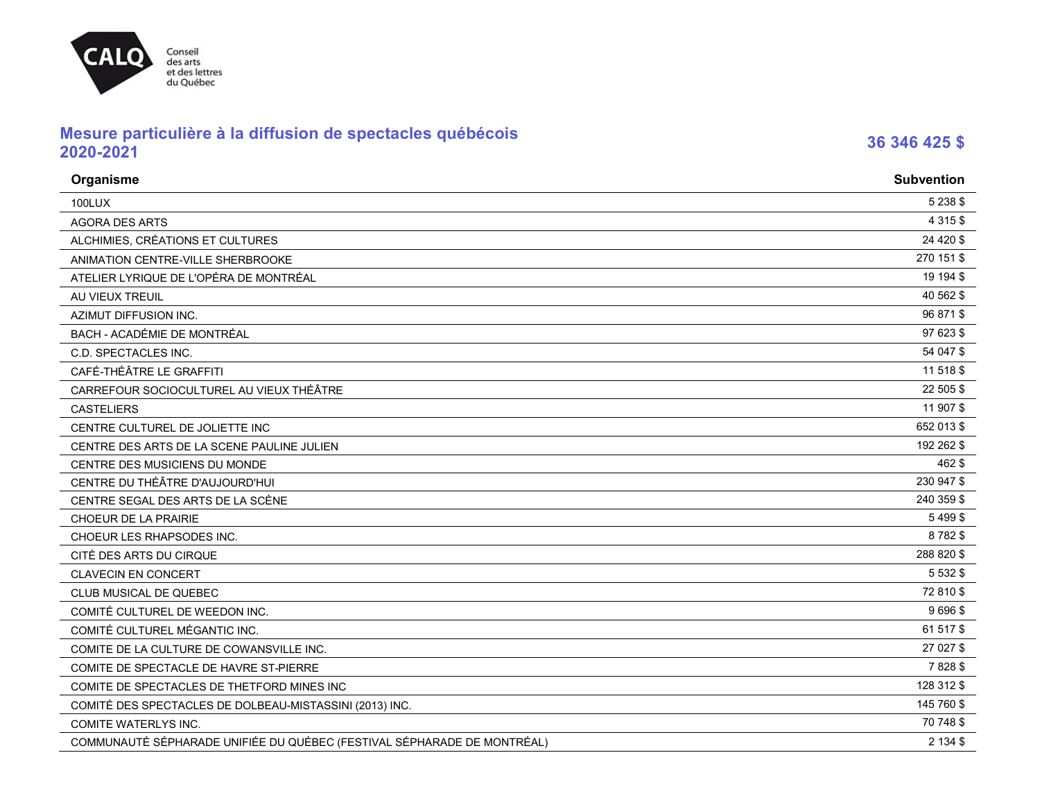# Conseil<br>des arts<br>et des lettres<br>du Québec **CALQ**

## **Mesure particulière à la diffusion de spectacles québécois 2020-2021 <sup>36</sup> <sup>346</sup> <sup>425</sup> \$**

| Organisme                                                               | <b>Subvention</b> |
|-------------------------------------------------------------------------|-------------------|
| <b>100LUX</b>                                                           | 5 2 3 8 \$        |
| <b>AGORA DES ARTS</b>                                                   | 4 3 1 5 \$        |
| ALCHIMIES, CRÉATIONS ET CULTURES                                        | 24 4 20 \$        |
| ANIMATION CENTRE-VILLE SHERBROOKE                                       | 270 151 \$        |
| ATELIER LYRIQUE DE L'OPÉRA DE MONTRÉAL                                  | 19 194 \$         |
| AU VIEUX TREUIL                                                         | 40 562 \$         |
| <b>AZIMUT DIFFUSION INC.</b>                                            | 96 871 \$         |
| <b>BACH - ACADÉMIE DE MONTRÉAL</b>                                      | 97 623 \$         |
| C.D. SPECTACLES INC.                                                    | 54 047 \$         |
| CAFÉ-THÉÂTRE LE GRAFFITI                                                | 11 518 \$         |
| CARREFOUR SOCIOCULTUREL AU VIEUX THÉÂTRE                                | 22 505 \$         |
| <b>CASTELIERS</b>                                                       | 11 907 \$         |
| CENTRE CULTUREL DE JOLIETTE INC                                         | 652 013 \$        |
| CENTRE DES ARTS DE LA SCENE PAULINE JULIEN                              | 192 262 \$        |
| CENTRE DES MUSICIENS DU MONDE                                           | 462 \$            |
| CENTRE DU THÉÂTRE D'AUJOURD'HUI                                         | 230 947 \$        |
| CENTRE SEGAL DES ARTS DE LA SCÈNE                                       | 240 359 \$        |
| CHOEUR DE LA PRAIRIE                                                    | 5499\$            |
| CHOEUR LES RHAPSODES INC.                                               | 8782\$            |
| CITÉ DES ARTS DU CIRQUE                                                 | 288 820 \$        |
| <b>CLAVECIN EN CONCERT</b>                                              | 5 5 3 2 \$        |
| CLUB MUSICAL DE QUEBEC                                                  | 72 810 \$         |
| COMITÉ CULTUREL DE WEEDON INC.                                          | 9696\$            |
| COMITÉ CULTUREL MÉGANTIC INC.                                           | 61 517 \$         |
| COMITE DE LA CULTURE DE COWANSVILLE INC.                                | 27 027 \$         |
| COMITE DE SPECTACLE DE HAVRE ST-PIERRE                                  | 7828\$            |
| COMITE DE SPECTACLES DE THETFORD MINES INC                              | 128 312 \$        |
| COMITÉ DES SPECTACLES DE DOLBEAU-MISTASSINI (2013) INC.                 | 145 760 \$        |
| COMITE WATERLYS INC.                                                    | 70 748 \$         |
| COMMUNAUTÉ SÉPHARADE UNIFIÉE DU QUÉBEC (FESTIVAL SÉPHARADE DE MONTRÉAL) | 2 134 \$          |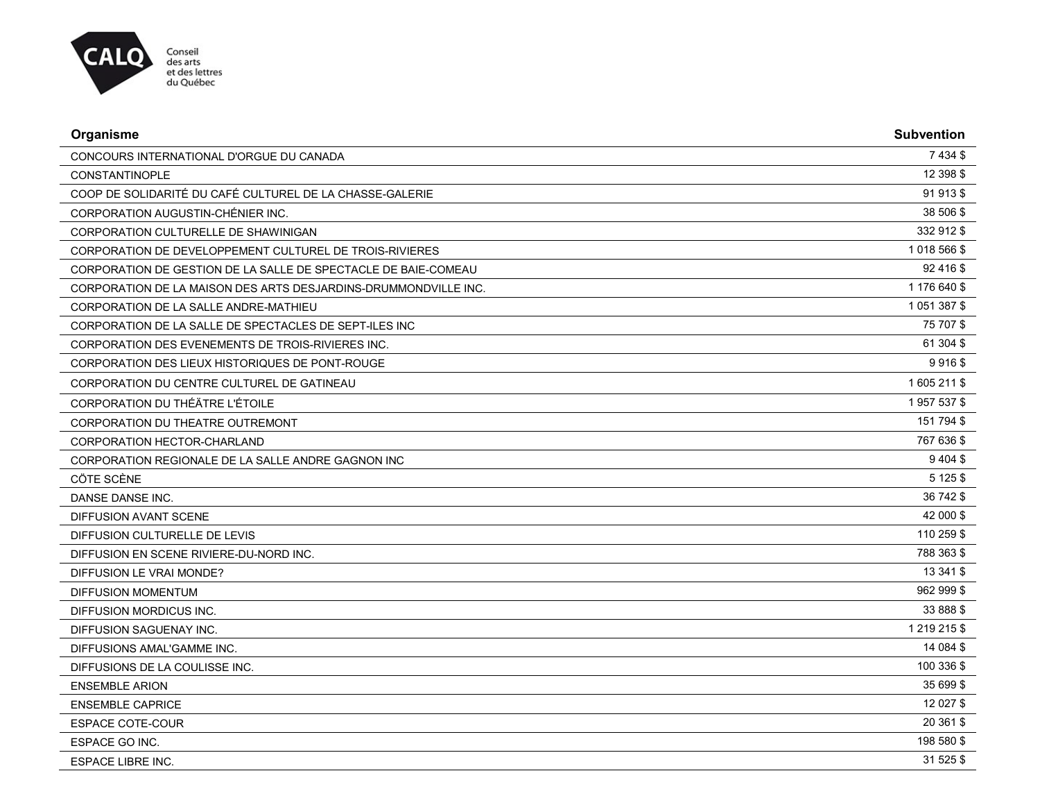

| Organisme                                                       | <b>Subvention</b> |
|-----------------------------------------------------------------|-------------------|
| CONCOURS INTERNATIONAL D'ORGUE DU CANADA                        | 7 4 3 4 \$        |
| <b>CONSTANTINOPLE</b>                                           | 12 398 \$         |
| COOP DE SOLIDARITÉ DU CAFÉ CULTUREL DE LA CHASSE-GALERIE        | 91 913 \$         |
| CORPORATION AUGUSTIN-CHÉNIER INC.                               | 38 506 \$         |
| <b>CORPORATION CULTURELLE DE SHAWINIGAN</b>                     | 332 912 \$        |
| CORPORATION DE DEVELOPPEMENT CULTUREL DE TROIS-RIVIERES         | 1 018 566 \$      |
| CORPORATION DE GESTION DE LA SALLE DE SPECTACLE DE BAIE-COMEAU  | 92 416 \$         |
| CORPORATION DE LA MAISON DES ARTS DESJARDINS-DRUMMONDVILLE INC. | 1 176 640 \$      |
| CORPORATION DE LA SALLE ANDRE-MATHIEU                           | 1 051 387 \$      |
| CORPORATION DE LA SALLE DE SPECTACLES DE SEPT-ILES INC          | 75 707 \$         |
| CORPORATION DES EVENEMENTS DE TROIS-RIVIERES INC.               | 61 304 \$         |
| CORPORATION DES LIEUX HISTORIQUES DE PONT-ROUGE                 | 9916\$            |
| CORPORATION DU CENTRE CULTUREL DE GATINEAU                      | 1605 211 \$       |
| CORPORATION DU THÉÄTRE L'ÉTOILE                                 | 1957537\$         |
| CORPORATION DU THEATRE OUTREMONT                                | 151 794 \$        |
| CORPORATION HECTOR-CHARLAND                                     | 767 636 \$        |
| CORPORATION REGIONALE DE LA SALLE ANDRE GAGNON INC              | $9404$ \$         |
| CÖTE SCÈNE                                                      | 5 1 2 5 \$        |
| <b>DANSE DANSE INC.</b>                                         | 36 742 \$         |
| DIFFUSION AVANT SCENE                                           | 42 000 \$         |
| DIFFUSION CULTURELLE DE LEVIS                                   | 110 259 \$        |
| DIFFUSION EN SCENE RIVIERE-DU-NORD INC.                         | 788 363 \$        |
| DIFFUSION LE VRAI MONDE?                                        | 13 341 \$         |
| <b>DIFFUSION MOMENTUM</b>                                       | 962 999 \$        |
| DIFFUSION MORDICUS INC.                                         | 33 888 \$         |
| DIFFUSION SAGUENAY INC.                                         | 1 219 215 \$      |
| DIFFUSIONS AMAL'GAMME INC.                                      | 14 084 \$         |
| DIFFUSIONS DE LA COULISSE INC.                                  | 100 336 \$        |
| <b>ENSEMBLE ARION</b>                                           | 35 699 \$         |
| <b>ENSEMBLE CAPRICE</b>                                         | 12 027 \$         |
| <b>ESPACE COTE-COUR</b>                                         | 20 361 \$         |
| ESPACE GO INC.                                                  | 198 580 \$        |
| <b>ESPACE LIBRE INC.</b>                                        | 31 525 \$         |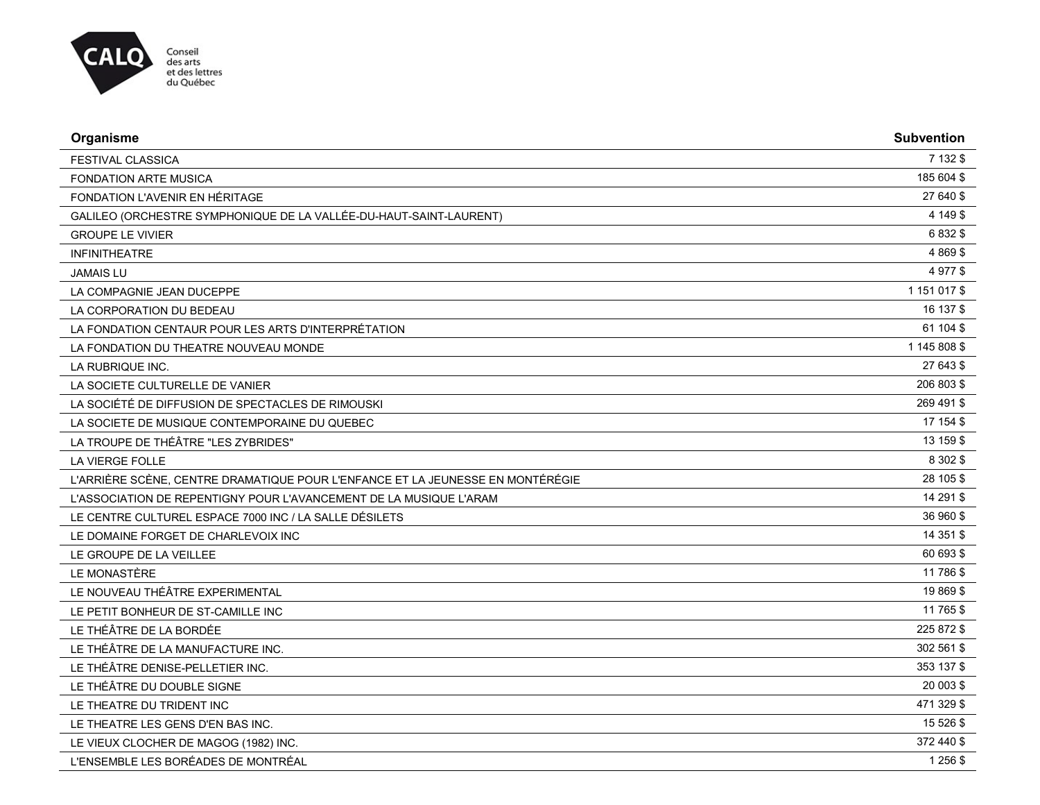

| Organisme                                                                      | <b>Subvention</b> |
|--------------------------------------------------------------------------------|-------------------|
| <b>FESTIVAL CLASSICA</b>                                                       | 7 132 \$          |
| <b>FONDATION ARTE MUSICA</b>                                                   | 185 604 \$        |
| FONDATION L'AVENIR EN HÉRITAGE                                                 | 27 640 \$         |
| GALILEO (ORCHESTRE SYMPHONIQUE DE LA VALLÉE-DU-HAUT-SAINT-LAURENT)             | 4 149 \$          |
| <b>GROUPE LE VIVIER</b>                                                        | 6 8 3 2 \$        |
| <b>INFINITHEATRE</b>                                                           | 4 8 6 9 \$        |
| <b>JAMAIS LU</b>                                                               | 4 977 \$          |
| LA COMPAGNIE JEAN DUCEPPE                                                      | 1 151 017 \$      |
| LA CORPORATION DU BEDEAU                                                       | 16 137 \$         |
| LA FONDATION CENTAUR POUR LES ARTS D'INTERPRÉTATION                            | 61 104 \$         |
| LA FONDATION DU THEATRE NOUVEAU MONDE                                          | 1 145 808 \$      |
| LA RUBRIQUE INC.                                                               | 27 643 \$         |
| LA SOCIETE CULTURELLE DE VANIER                                                | 206 803 \$        |
| LA SOCIÉTÉ DE DIFFUSION DE SPECTACLES DE RIMOUSKI                              | 269 491 \$        |
| LA SOCIETE DE MUSIQUE CONTEMPORAINE DU QUEBEC                                  | 17 154 \$         |
| LA TROUPE DE THÉÂTRE "LES ZYBRIDES"                                            | 13 159 \$         |
| <b>LA VIERGE FOLLE</b>                                                         | 8 30 2 \$         |
| L'ARRIÈRE SCÈNE, CENTRE DRAMATIQUE POUR L'ENFANCE ET LA JEUNESSE EN MONTÉRÉGIE | 28 105 \$         |
| L'ASSOCIATION DE REPENTIGNY POUR L'AVANCEMENT DE LA MUSIQUE L'ARAM             | 14 291 \$         |
| LE CENTRE CULTUREL ESPACE 7000 INC / LA SALLE DÉSILETS                         | 36 960 \$         |
| LE DOMAINE FORGET DE CHARLEVOIX INC                                            | 14 351 \$         |
| LE GROUPE DE LA VEILLEE                                                        | 60 693 \$         |
| LE MONASTÈRE                                                                   | 11 786 \$         |
| LE NOUVEAU THÉÂTRE EXPERIMENTAL                                                | 19 869 \$         |
| LE PETIT BONHEUR DE ST-CAMILLE INC                                             | 11 765 \$         |
| LE THÉÂTRE DE LA BORDÉE                                                        | 225 872 \$        |
| LE THÉÂTRE DE LA MANUFACTURE INC.                                              | 302 561 \$        |
| LE THÉÂTRE DENISE-PELLETIER INC.                                               | 353 137 \$        |
| LE THÉÂTRE DU DOUBLE SIGNE                                                     | 20 003 \$         |
| LE THEATRE DU TRIDENT INC                                                      | 471 329 \$        |
| LE THEATRE LES GENS D'EN BAS INC.                                              | 15 526 \$         |
| LE VIEUX CLOCHER DE MAGOG (1982) INC.                                          | 372 440 \$        |
| L'ENSEMBLE LES BORÉADES DE MONTRÉAL                                            | 1 256 \$          |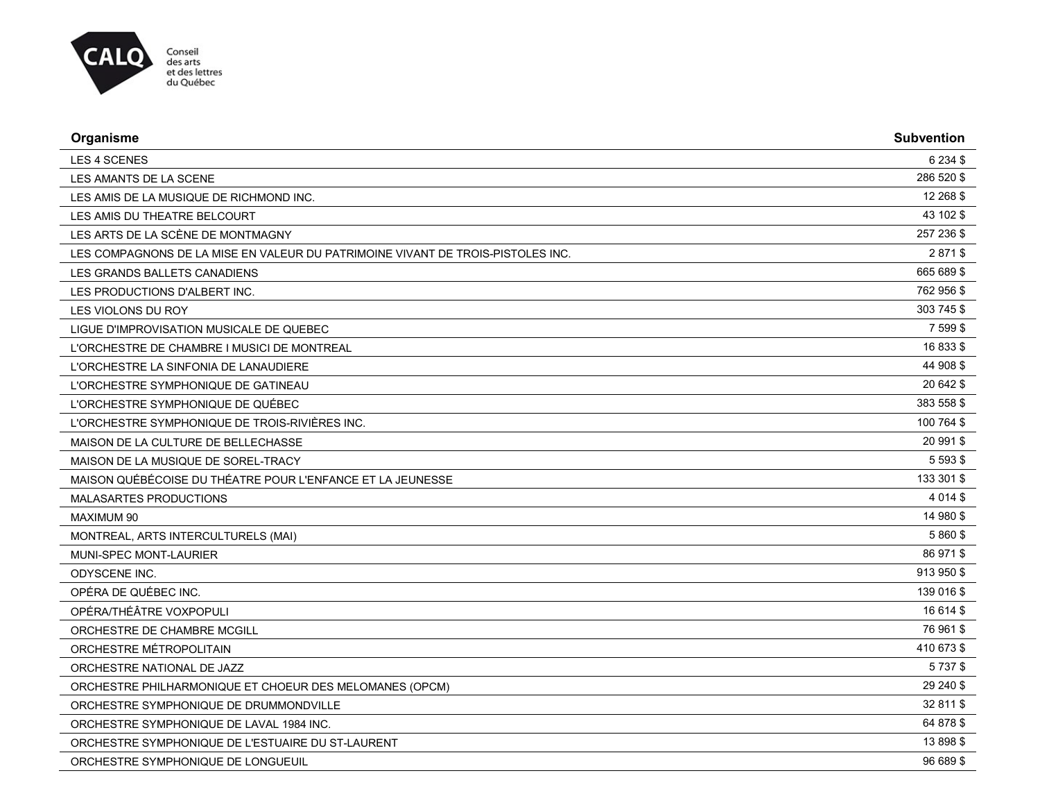

| Organisme                                                                       | <b>Subvention</b> |
|---------------------------------------------------------------------------------|-------------------|
| LES 4 SCENES                                                                    | 6 2 3 4 \$        |
| LES AMANTS DE LA SCENE                                                          | 286 520 \$        |
| LES AMIS DE LA MUSIQUE DE RICHMOND INC.                                         | 12 268 \$         |
| LES AMIS DU THEATRE BELCOURT                                                    | 43 102 \$         |
| LES ARTS DE LA SCÈNE DE MONTMAGNY                                               | 257 236 \$        |
| LES COMPAGNONS DE LA MISE EN VALEUR DU PATRIMOINE VIVANT DE TROIS-PISTOLES INC. | 2871\$            |
| LES GRANDS BALLETS CANADIENS                                                    | 665 689 \$        |
| LES PRODUCTIONS D'ALBERT INC.                                                   | 762 956 \$        |
| LES VIOLONS DU ROY                                                              | 303 745 \$        |
| LIGUE D'IMPROVISATION MUSICALE DE QUEBEC                                        | 7 599 \$          |
| L'ORCHESTRE DE CHAMBRE I MUSICI DE MONTREAL                                     | 16 833 \$         |
| L'ORCHESTRE LA SINFONIA DE LANAUDIERE                                           | 44 908 \$         |
| L'ORCHESTRE SYMPHONIQUE DE GATINEAU                                             | 20 642 \$         |
| L'ORCHESTRE SYMPHONIQUE DE QUÉBEC                                               | 383 558 \$        |
| L'ORCHESTRE SYMPHONIQUE DE TROIS-RIVIÈRES INC.                                  | 100 764 \$        |
| MAISON DE LA CULTURE DE BELLECHASSE                                             | 20 991 \$         |
| MAISON DE LA MUSIQUE DE SOREL-TRACY                                             | 5 5 9 3 \$        |
| MAISON QUÉBÉCOISE DU THÉATRE POUR L'ENFANCE ET LA JEUNESSE                      | 133 301 \$        |
| MALASARTES PRODUCTIONS                                                          | 4 0 14 \$         |
| <b>MAXIMUM 90</b>                                                               | 14 980 \$         |
| MONTREAL, ARTS INTERCULTURELS (MAI)                                             | 5 860 \$          |
| MUNI-SPEC MONT-LAURIER                                                          | 86 971 \$         |
| ODYSCENE INC.                                                                   | 913 950 \$        |
| OPÉRA DE QUÉBEC INC.                                                            | 139 016 \$        |
| OPÉRA/THÉÂTRE VOXPOPULI                                                         | 16 614 \$         |
| ORCHESTRE DE CHAMBRE MCGILL                                                     | 76 961 \$         |
| ORCHESTRE MÉTROPOLITAIN                                                         | 410 673 \$        |
| ORCHESTRE NATIONAL DE JAZZ                                                      | 5737\$            |
| ORCHESTRE PHILHARMONIQUE ET CHOEUR DES MELOMANES (OPCM)                         | 29 240 \$         |
| ORCHESTRE SYMPHONIQUE DE DRUMMONDVILLE                                          | 32 811 \$         |
| ORCHESTRE SYMPHONIQUE DE LAVAL 1984 INC.                                        | 64 878 \$         |
| ORCHESTRE SYMPHONIQUE DE L'ESTUAIRE DU ST-LAURENT                               | 13 898 \$         |
| ORCHESTRE SYMPHONIQUE DE LONGUEUIL                                              | 96 689 \$         |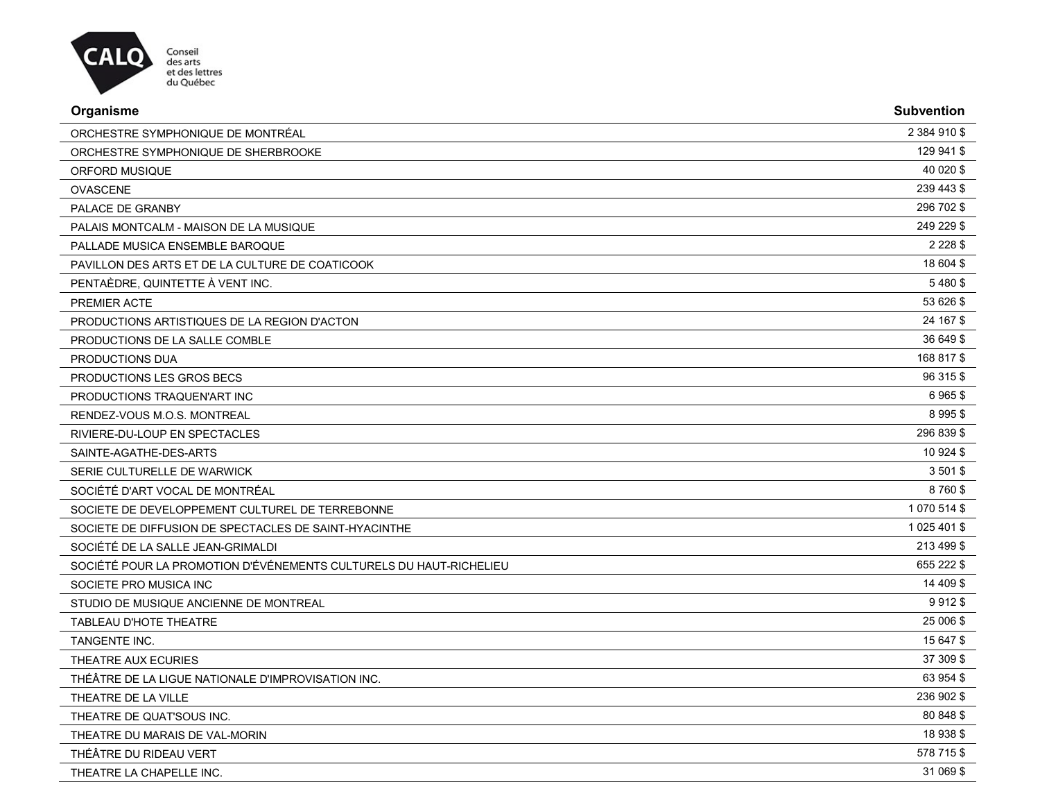

| Organisme                                       | <b>Subvention</b> |
|-------------------------------------------------|-------------------|
| ORCHESTRE SYMPHONIQUE DE MONTRÉAL               | 2 384 910 \$      |
| ORCHESTRE SYMPHONIQUE DE SHERBROOKE             | 129 941 \$        |
| ORFORD MUSIQUE                                  | 40 0 20 \$        |
| <b>OVASCENE</b>                                 | 239 443 \$        |
| PALACE DE GRANBY                                | 296 702 \$        |
| PALAIS MONTCALM - MAISON DE LA MUSIQUE          | 249 229 \$        |
| PALLADE MUSICA ENSEMBLE BAROQUE                 | 2 2 2 8 \$        |
| PAVILLON DES ARTS ET DE LA CULTURE DE COATICOOK | 18 604 \$         |
| PENTAÈDRE, QUINTETTE À VENT INC.                | 5480\$            |
| <b>PREMIER ACTE</b>                             | 53 626 \$         |
| PRODUCTIONS ARTISTIQUES DE LA REGION D'ACTON    | 24 167 \$         |
| PRODUCTIONS DE LA SALLE COMBLE                  | 36 649 \$         |
| PRODUCTIONS DUA                                 | 168 817 \$        |

| CTIONS LES GROS BECS<br><b>PRODUCT</b>     |  |
|--------------------------------------------|--|
| <b>PRODUCTIONS</b><br>IONS TRAQUEN'ART INC |  |

|                               | -----      |
|-------------------------------|------------|
| RENDEZ-VOUS M.O.S. MONTREAL   | 8 995 \$   |
| RIVIERE-DU-LOUP EN SPECTACLES | 296 839 \$ |

SAINTE-AGATHE-DES-ARTS 10 924 \$

| SERIE CULTURELLE DE WARWICK     | 3 501 \$ |
|---------------------------------|----------|
| SOCIÉTÉ D'ART VOCAL DE MONTRÉAL | 8760\$   |

SOCIETE DE DEVELOPPEMENT CULTUREL DE TERREBONNE 1 070 514 \$ SOCIETE DE DIFFUSION DE SPECTACLES DE SAINT-HYACINTHE 1 025 401 \$

SOCIÉTÉ DE LA SALLE JEAN-GRIMALDI 213 499 \$ SOCIÉTÉ POUR LA PROMOTION D'ÉVÉNEMENTS CULTURELS DU HAUT-RICHELIEU<br>655 222 \$

SOCIETE PRO MUSICA INC 2008 AND SOCIETE PRO MUSICA INCLUDED AND SOCIETE PRO MUSICA INCLUDED AND SOCIETE PRO MUSICA INCLUDED AND SOCIETE PRO MUSICA INCLUDED AND SOCIETE PRO MUSICA INCLUDED AND SOCIETE PRO MUSICA INCLUDED AN

| STUDIO DE MUSIQUE ANCIENNE DE MONTREAL             | 9912\$    |
|----------------------------------------------------|-----------|
| TABLEAU D'HOTE THEATRE                             | 25 006 \$ |
| TANGENTE INC.                                      | 15 647 \$ |
| THEATRE AUX ECURIES                                | 37 309 \$ |
| THÉÂTRE DE LA LIGUE NATIONALE D'IMPROVISATION INC. | 63 954 \$ |

THEATRE DE LA VILLE THEATRE DE QUAT'SOUS INC.

THEATRE DU MARAIS DE VAL-MORIN

THÉÂTRE DU RIDEAU VERT

THEATRE LA CHAPELLE INC.

| 236 902 \$ |  |
|------------|--|
| 80 848 \$  |  |
| 18 938 \$  |  |
| 578 715 \$ |  |
| 31 069 \$  |  |
|            |  |